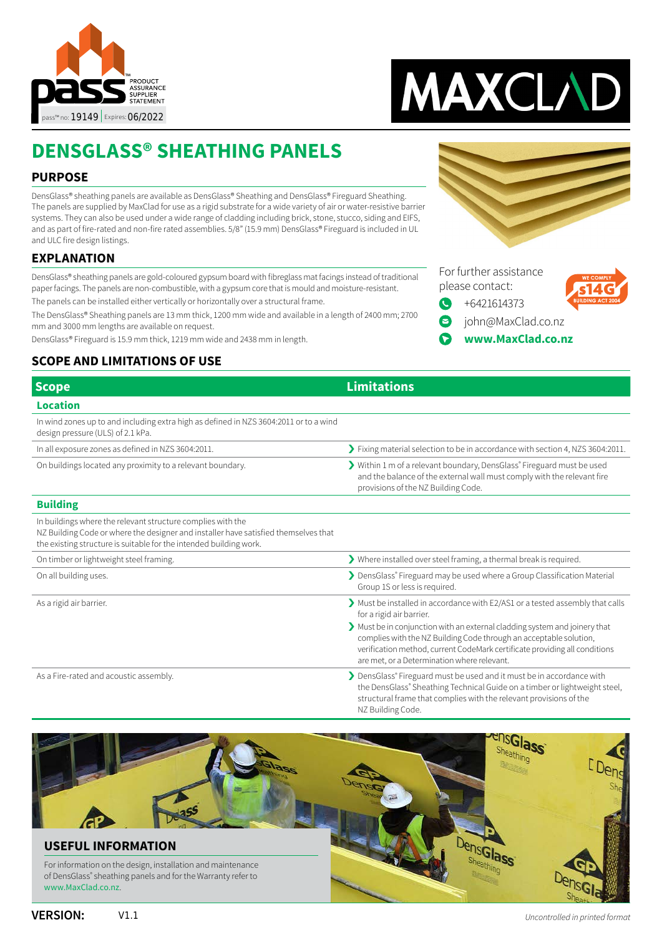



For further assistance please contact:

[+6421614373](tel://+6421614373)

Q

[john@MaxClad.co.nz](mailto:john%40MaxClad.co.nz?subject=Enquiry%20from%20DensGlass%C2%AE%20Sheathing%20Panels%20pass) **[www.MaxClad.co.nz](http://www.maxclad.co.nz)**

## **DENSGLASS® SHEATHING PANELS**

### **PURPOSE**

DensGlass® sheathing panels are available as DensGlass® Sheathing and DensGlass® Fireguard Sheathing. The panels are supplied by MaxClad for use as a rigid substrate for a wide variety of air or water-resistive barrier systems. They can also be used under a wide range of cladding including brick, stone, stucco, siding and EIFS, and as part of fire-rated and non-fire rated assemblies. 5/8" (15.9 mm) DensGlass® Fireguard is included in UL and ULC fire design listings.

### **EXPLANATION**

DensGlass® sheathing panels are gold-coloured gypsum board with fibreglass mat facings instead of traditional paper facings. The panels are non-combustible, with a gypsum core that is mould and moisture-resistant. The panels can be installed either vertically or horizontally over a structural frame.

The DensGlass® Sheathing panels are 13 mm thick, 1200 mm wide and available in a length of 2400 mm; 2700 mm and 3000 mm lengths are available on request.

DensGlass® Fireguard is 15.9 mm thick, 1219 mm wide and 2438 mm in length.

### **SCOPE AND LIMITATIONS OF USE**

| <b>Scope</b>                                                                                                                                                                                                             | <b>Limitations</b>                                                                                                                                                                                                                                                          |
|--------------------------------------------------------------------------------------------------------------------------------------------------------------------------------------------------------------------------|-----------------------------------------------------------------------------------------------------------------------------------------------------------------------------------------------------------------------------------------------------------------------------|
| <b>Location</b>                                                                                                                                                                                                          |                                                                                                                                                                                                                                                                             |
| In wind zones up to and including extra high as defined in NZS 3604:2011 or to a wind<br>design pressure (ULS) of 2.1 kPa.                                                                                               |                                                                                                                                                                                                                                                                             |
| In all exposure zones as defined in NZS 3604:2011.                                                                                                                                                                       | > Fixing material selection to be in accordance with section 4, NZS 3604:2011.                                                                                                                                                                                              |
| On buildings located any proximity to a relevant boundary.                                                                                                                                                               | > Within 1 m of a relevant boundary, DensGlass® Fireguard must be used<br>and the balance of the external wall must comply with the relevant fire<br>provisions of the NZ Building Code.                                                                                    |
| <b>Building</b>                                                                                                                                                                                                          |                                                                                                                                                                                                                                                                             |
| In buildings where the relevant structure complies with the<br>NZ Building Code or where the designer and installer have satisfied themselves that<br>the existing structure is suitable for the intended building work. |                                                                                                                                                                                                                                                                             |
| On timber or lightweight steel framing.                                                                                                                                                                                  | > Where installed over steel framing, a thermal break is required.                                                                                                                                                                                                          |
| On all building uses.                                                                                                                                                                                                    | > DensGlass® Fireguard may be used where a Group Classification Material<br>Group 1S or less is required.                                                                                                                                                                   |
| As a rigid air barrier.                                                                                                                                                                                                  | > Must be installed in accordance with E2/AS1 or a tested assembly that calls<br>for a rigid air barrier.                                                                                                                                                                   |
|                                                                                                                                                                                                                          | Must be in conjunction with an external cladding system and joinery that<br>complies with the NZ Building Code through an acceptable solution,<br>verification method, current CodeMark certificate providing all conditions<br>are met, or a Determination where relevant. |
| As a Fire-rated and acoustic assembly.                                                                                                                                                                                   | DensGlass® Fireguard must be used and it must be in accordance with<br>the DensGlass® Sheathing Technical Guide on a timber or lightweight steel,<br>structural frame that complies with the relevant provisions of the<br>NZ Building Code.                                |